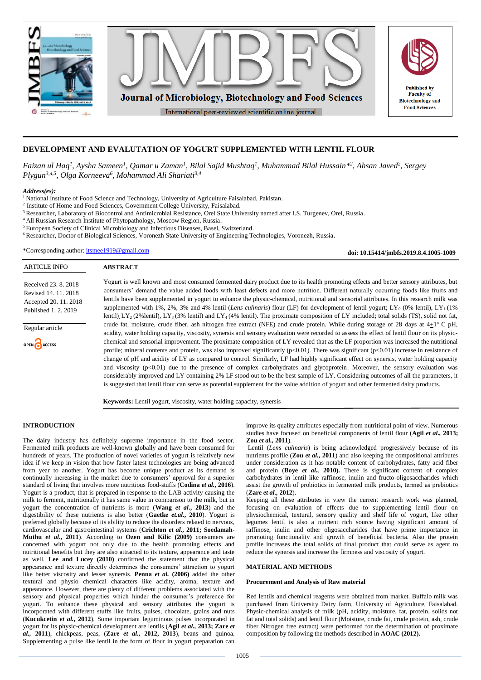

# **DEVELOPMENT AND EVALUTATION OF YOGURT SUPPLEMENTED WITH LENTIL FLOUR**

*Faizan ul Haq<sup>1</sup> , Aysha Sameen<sup>1</sup> , Qamar u Zaman<sup>1</sup> , Bilal Sajid Mushtaq<sup>1</sup> , Muhammad Bilal Hussain\* 2 , Ahsan Javed<sup>2</sup> , Sergey Plygun3,4,5, Olga Korneeva<sup>6</sup> , Mohammad Ali Shariati3,4*

## *Address(es):*

<sup>1</sup> National Institute of Food Science and Technology, University of Agriculture Faisalabad, Pakistan.

<sup>2</sup> Institute of Home and Food Sciences, Government College University, Faisalabad. <sup>3</sup> Researcher, Laboratory of Biocontrol and Antimicrobial Resistance, Orel State University named after I.S. Turgeney, Orel, Russia.

<sup>4</sup> All Russian Research Institute of Phytopathology, Moscow Region, Russia.

<sup>5</sup> European Society of Clinical Microbiology and Infectious Diseases, Basel, Switzerland.

<sup>6</sup> Researcher, Doctor of Biological Sciences, Voronezh State University of Engineering Technologies, Voronezh, Russia.

\*Corresponding author: [itsmee1919@gmail.com](mailto:itsmee1919@gmail.com)

**doi: 10.15414/jmbfs.2019.8.4.1005-1009**

| <b>ARTICLE INFO</b>                                                                                                            | <b>ABSTRACT</b>                                                                                                                                                                                                                                                                                                                                                                                                                                                                                                                                                                                                                                                                                                                                                                                                                                                                                                                                                                                                                                                                                                                                                                                                                                                                                                                                                                                                                                                                                                                                                                                                                                                                                                                                                                                                                                                                                 |
|--------------------------------------------------------------------------------------------------------------------------------|-------------------------------------------------------------------------------------------------------------------------------------------------------------------------------------------------------------------------------------------------------------------------------------------------------------------------------------------------------------------------------------------------------------------------------------------------------------------------------------------------------------------------------------------------------------------------------------------------------------------------------------------------------------------------------------------------------------------------------------------------------------------------------------------------------------------------------------------------------------------------------------------------------------------------------------------------------------------------------------------------------------------------------------------------------------------------------------------------------------------------------------------------------------------------------------------------------------------------------------------------------------------------------------------------------------------------------------------------------------------------------------------------------------------------------------------------------------------------------------------------------------------------------------------------------------------------------------------------------------------------------------------------------------------------------------------------------------------------------------------------------------------------------------------------------------------------------------------------------------------------------------------------|
| Received 23, 8, 2018<br>Revised 14, 11, 2018<br>Accepted 20, 11, 2018<br>Published 1.2.2019<br>Regular article<br>OPEN CACCESS | Yogurt is well known and most consumed fermented dairy product due to its health promoting effects and better sensory attributes, but<br>consumers' demand the value added foods with least defects and more nutrition. Different naturally occurring foods like fruits and<br>lentils have been supplemented in yogurt to enhance the physic-chemical, nutritional and sensorial attributes. In this research milk was<br>supplemented with 1%, 2%, 3% and 4% lentil (Lens culinaris) flour (LF) for development of lentil yogurt; LY <sub>0</sub> (0% lentil), LY <sub>1</sub> (1%)<br>lentil) $LY_2(2\%$ lentil), $LY_3(3\%$ lentil) and $LY_4(4\%$ lentil). The proximate composition of LY included; total solids (TS), solid not fat,<br>crude fat, moisture, crude fiber, ash nitrogen free extract (NFE) and crude protein. While during storage of 28 days at $4+1^{\circ}$ C pH,<br>acidity, water holding capacity, viscosity, synersis and sensory evaluation were recorded to assess the effect of lentil flour on its physic-<br>chemical and sensorial improvement. The proximate composition of LY revealed that as the LF proportion was increased the nutritional<br>profile; mineral contents and protein, was also improved significantly $(p<0.01)$ . There was significant $(p<0.01)$ increase in resistance of<br>change of pH and acidity of LY as compared to control. Similarly, LF had highly significant effect on synersis, water holding capacity<br>and viscosity $(p<0.01)$ due to the presence of complex carbohydrates and glycoprotein. Moreover, the sensory evaluation was<br>considerably improved and LY containing 2% LF stood out to be the best sample of LY. Considering outcomes of all the parameters, it<br>is suggested that lentil flour can serve as potential supplement for the value addition of yogurt and other fermented dairy products. |
|                                                                                                                                | 軍務 그는 어디에 대한 사람이 없는 것이 없었다. 이 사람은 이 사람들은 어디에 대한 사람들이 없었다.                                                                                                                                                                                                                                                                                                                                                                                                                                                                                                                                                                                                                                                                                                                                                                                                                                                                                                                                                                                                                                                                                                                                                                                                                                                                                                                                                                                                                                                                                                                                                                                                                                                                                                                                                                                                                                       |

**Keywords:** Lentil yogurt, viscosity, water holding capacity, synersis

#### **INTRODUCTION**

The dairy industry has definitely supreme importance in the food sector. Fermented milk products are well-known globally and have been consumed for hundreds of years. The production of novel varieties of yogurt is relatively new idea if we keep in vision that how faster latest technologies are being advanced from year to another. Yogurt has become unique product as its demand is continually increasing in the market due to consumers' approval for a superior standard of living that involves more nutritious food-stuffs (**Codina** *et al.***, 2016**). Yogurt is a product, that is prepared in response to the LAB activity causing the milk to ferment, nutritionally it has same value in comparison to the milk, but in yogurt the concentration of nutrients is more (**Wang** *et al***., 2013**) and the digestibility of these nutrients is also better (**Gaetke** *et.al***., 2010**). Yogurt is preferred globally because of its ability to reduce the disorders related to nervous, cardiovascular and gastrointestinal systems (**Crichton** *et al***., 2011; Soedamah-Muthu** *et al***., 2011**). According to **Ozen and Kilic (2009)** consumers are concerned with yogurt not only due to the health promoting effects and nutritional benefits but they are also attracted to its texture, appearance and taste as well. **Lee and Lucey (2010)** confirmed the statement that the physical appearance and texture directly determines the consumers' attraction to yogurt like better viscosity and lesser synersis. **Penna** *et al.* **(2006)** added the other textural and physio chemical characters like acidity, aroma, texture and appearance. However, there are plenty of different problems associated with the sensory and physical properties which hinder the consumer's preference for yogurt. To enhance these physical and sensory attributes the yogurt is incorporated with different stuffs like fruits, pulses, chocolate, grains and nuts (**Kucukcetin** *et al.***, 2012**). Some important leguminous pulses incorporated in yogurt for its physic-chemical development are lentils (**Agil** *et al.,* **2013; Zare** *et al.,* **2011**), chickpeas, peas, (**Zare** *et al.,* **2012, 2013**), beans and quinoa. Supplementing a pulse like lentil in the form of flour in yogurt preparation can

improve its quality attributes especially from nutritional point of view. Numerous studies have focused on beneficial components of lentil flour (**Agil** *et al.,* **2013; Zou** *et al.,* **2011**).

Lentil (*Lens culinaris*) is being acknowledged progressively because of its nutrients profile (**Zou** *et al.,* **2011**) and also keeping the compositional attributes under consideration as it has notable content of carbohydrates, fatty acid fiber and protein (**Boye** *et al.,* **2010).** There is significant content of complex carbohydrates in lentil like raffinose, inulin and fructo-oligosaccharides which assist the growth of probiotics in fermented milk products, termed as prebiotics (**Zare** *et al.,* **2012**).

Keeping all these attributes in view the current research work was planned, focusing on evaluation of effects due to supplementing lentil flour on physiochemical, textural, sensory quality and shelf life of yogurt, like other legumes lentil is also a nutrient rich source having significant amount of raffinose, inulin and other oligosaccharides that have prime importance in promoting functionality and growth of beneficial bacteria. Also the protein profile increases the total solids of final product that could serve as agent to reduce the synersis and increase the firmness and viscosity of yogurt.

### **MATERIAL AND METHODS**

## **Procurement and Analysis of Raw material**

Red lentils and chemical reagents were obtained from market. Buffalo milk was purchased from University Dairy farm, University of Agriculture, Faisalabad. Physic-chemical analysis of milk (pH, acidity, moisture, fat, protein, solids not fat and total solids) and lentil flour (Moisture, crude fat, crude protein, ash, crude fiber Nitrogen free extract) were performed for the determination of proximate composition by following the methods described in **AOAC (2012).**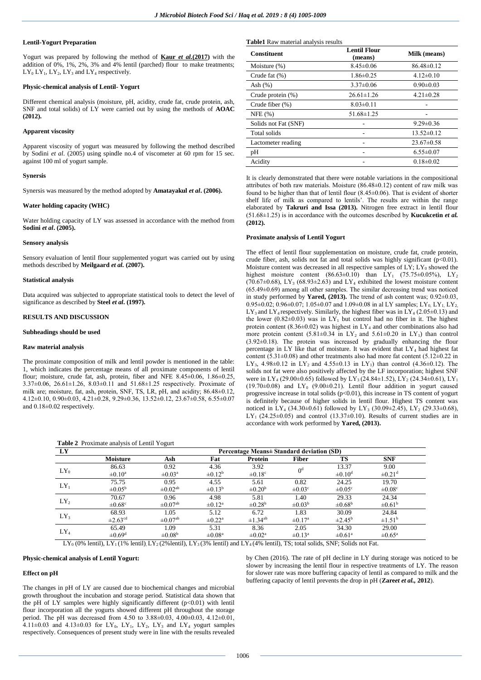## **Lentil-Yogurt Preparation**

Yogurt was prepared by following the method of **Kaur** *et al.***(2017)** with the addition of 0%, 1%, 2%, 3% and 4% lentil (parched) flour to make treatments;  $LY_0 LY_1$ ,  $LY_2$ ,  $LY_3$  and  $LY_4$  respectively.

## **Physic-chemical analysis of Lentil- Yogurt**

Different chemical analysis (moisture, pH, acidity, crude fat, crude protein, ash, SNF and total solids) of LY were carried out by using the methods of **AOAC (2012).**

## **Apparent viscosity**

Apparent viscosity of yogurt was measured by following the method described by Sodini *et al*. (2005) using spindle no.4 of viscometer at 60 rpm for 15 sec. against 100 ml of yogurt sample.

#### **Synersis**

Synersis was measured by the method adopted by **Amatayakul** *et al***. (2006).**

#### **Water holding capacity (WHC)**

Water holding capacity of LY was assessed in accordance with the method from **Sodini** *et al***. (2005).**

#### **Sensory analysis**

Sensory evaluation of lentil flour supplemented yogurt was carried out by using methods described by **Meilgaard** *et al.* **(2007).**

#### **Statistical analysis**

Data acquired was subjected to appropriate statistical tools to detect the level of significance as described by **Steel** *et al***. (1997).**

#### **RESULTS AND DISCUSSION**

#### **Subheadings should be used**

#### **Raw material analysis**

The proximate composition of milk and lentil powder is mentioned in the table: 1, which indicates the percentage means of all proximate components of lentil flour; moisture, crude fat, ash, protein, fiber and NFE  $8.45\pm0.06$ ,  $1.86\pm0.25$ , 3.37±0.06, 26.61±1.26, 8.03±0.11 and 51.68±1.25 respectively. Proximate of milk are; moisture, fat, ash, protein, SNF, TS, LR, pH, and acidity; 86.48±0.12, 4.12±0.10, 0.90±0.03, 4.21±0.28, 9.29±0.36, 13.52±0.12, 23.67±0.58, 6.55±0.07 and 0.18±0.02 respectively.

**Table 2** Proximate analysis of Lentil Yogurt

**Table1** Raw material analysis results

| <b>Constituent</b>   | Lentil Flour<br>(means) | Milk (means)     |  |
|----------------------|-------------------------|------------------|--|
| Moisture (%)         | $8.45 \pm 0.06$         | $86.48 \pm 0.12$ |  |
| Crude fat (%)        | $1.86 \pm 0.25$         | $4.12\pm0.10$    |  |
| Ash $(%)$            | $3.37 \pm 0.06$         | $0.90 \pm 0.03$  |  |
| Crude protein (%)    | $26.61 \pm 1.26$        | $4.21 \pm 0.28$  |  |
| Crude fiber (%)      | $8.03 \pm 0.11$         |                  |  |
| NFE(%)               | $51.68 \pm 1.25$        |                  |  |
| Solids not Fat (SNF) |                         | $9.29 \pm 0.36$  |  |
| Total solids         |                         | $13.52 \pm 0.12$ |  |
| Lactometer reading   |                         | $23.67 \pm 0.58$ |  |
| pH                   |                         | $6.55 \pm 0.07$  |  |
| Acidity              |                         | $0.18 \pm 0.02$  |  |

It is clearly demonstrated that there were notable variations in the compositional attributes of both raw materials. Moisture (86.48±0.12) content of raw milk was found to be higher than that of lentil flour  $(8.45\pm0.06)$ . That is evident of shorter shelf life of milk as compared to lentils'. The results are within the range elaborated by **Takruri and Issa (2013).** Nitrogen free extract in lentil flour (51.68±1.25) is in accordance with the outcomes described by **Kucukcetin** *et al.* **(2012).**

#### **Proximate analysis of Lentil Yogurt**

The effect of lentil flour supplementation on moisture, crude fat, crude protein, crude fiber, ash, solids not fat and total solids was highly significant (p<0.01). Moisture content was decreased in all respective samples of  $LY$ ;  $LY_0$  showed the highest moisture content  $(86.63 \pm 0.10)$  than  $\text{LY}_1$   $(75.75 \pm 0.05\%)$ , LY<sub>2</sub> (70.67±0.68), LY<sub>3</sub> (68.93±2.63) and LY<sub>4</sub> exhibited the lowest moisture content (65.49±0.69) among all other samples. The similar decreasing trend was noticed in study performed by **Yared, (2013).** The trend of ash content was;  $0.92 \pm 0.03$ , 0.95 $\pm$ 0.02; 0.96 $\pm$ 0.07; 1.05 $\pm$ 0.07 and 1.09 $\pm$ 0.08 in al LY samples; LY<sub>0</sub>, LY<sub>1</sub>, LY<sub>2</sub> LY<sub>3</sub> and LY<sub>4</sub> respectively. Similarly, the highest fiber was in LY<sub>4</sub> (2.05 $\pm$ 0.13) and the lower (0.82±0.03) was in  $LY_1$  but control had no fiber in it. The highest protein content (8.36 $\pm$ 0.02) was highest in LY<sub>4</sub> and other combinations also had more protein content  $(5.81\pm0.34 \text{ in LY}_2 \text{ and } 5.61\pm0.20 \text{ in LY}_1)$  than control (3.92±0.18). The protein was increased by gradually enhancing the flour percentage in LY like that of moisture. It was evident that  $LY_4$  had highest fat content (5.31 $\pm$ 0.08) and other treatments also had more fat content (5.12 $\pm$ 0.22 in LY<sub>3</sub>, 4.98 $\pm$ 0.12 in LY<sub>2</sub> and 4.55 $\pm$ 0.13 in LY<sub>1</sub>) than control (4.36 $\pm$ 0.12). The solids not fat were also positively affected by the LF incorporation; highest SNF were in LY<sub>4</sub> (29.00 $\pm$ 0.65) followed by LY<sub>3</sub> (24.84 $\pm$ 1.52), LY<sub>2</sub> (24.34 $\pm$ 0.61), LY<sub>1</sub> (19.70 $\pm$ 0.08) and LY<sub>0</sub> (9.00 $\pm$ 0.21). Lentil flour addition in yogurt caused progressive increase in total solids (p<0.01), this increase in TS content of yogurt is definitely because of higher solids in lentil flour. Highest TS content was noticed in LY<sub>4</sub> (34.30 $\pm$ 0.61) followed by LY<sub>3</sub> (30.09 $\pm$ 2.45), LY<sub>2</sub> (29.33 $\pm$ 0.68), LY<sub>1</sub> (24.25 $\pm$ 0.05) and control (13.37 $\pm$ 0.10). Results of current studies are in accordance with work performed by **Yared, (2013).**

| LY              | Percentage Means ± Standard deviation (SD) |                          |                         |                          |                         |                         |                         |  |
|-----------------|--------------------------------------------|--------------------------|-------------------------|--------------------------|-------------------------|-------------------------|-------------------------|--|
|                 | <b>Moisture</b>                            | Ash                      | Fat                     | Protein                  | <b>Fiber</b>            | TS                      | <b>SNF</b>              |  |
| $LY_0$          | 86.63                                      | 0.92                     | 4.36                    | 3.92                     | 0 <sup>d</sup>          | 13.37                   | 9.00                    |  |
|                 | $\pm 0.10^{\mathrm{a}}$                    | $\pm 0.03^{\text{a}}$    | $\pm 0.12^{\rm b}$      | $\pm 0.18$ <sup>c</sup>  |                         | $\pm 0.10$ <sup>d</sup> | $\pm 0.21$ <sup>d</sup> |  |
| $LY_1$          | 75.75                                      | 0.95                     | 4.55                    | 5.61                     | 0.82                    | 24.25                   | 19.70                   |  |
|                 | $\pm 0.05^{\rm b}$                         | $\pm 0.02$ <sup>ab</sup> | $\pm 0.13^b$            | $\pm 0.20^{\rm b}$       | $\pm 0.03^{\circ}$      | $\pm 0.05^{\circ}$      | $\pm 0.08$ <sup>c</sup> |  |
| $LY_2$          | 70.67                                      | 0.96                     | 4.98                    | 5.81                     | 1.40                    | 29.33                   | 24.34                   |  |
|                 | $\pm 0.68^{\circ}$                         | $\pm 0.07$ <sup>ab</sup> | $\pm 0.12^{\mathrm{a}}$ | $\pm 0.28^{\rm b}$       | $\pm 0.03^{\rm b}$      | $\pm 0.68^{\rm b}$      | $\pm 0.61^{\rm b}$      |  |
| LY <sub>3</sub> | 68.93                                      | 1.05                     | 5.12                    | 6.72                     | 1.83                    | 30.09                   | 24.84                   |  |
|                 | $\pm 2.63$ <sup>cd</sup>                   | $\pm 0.07$ <sup>ab</sup> | $\pm 0.22$ <sup>a</sup> | $\pm$ 1.34 <sup>ab</sup> | $\pm 0.17$ <sup>a</sup> | $\pm 2.45^{\mathrm{b}}$ | $\pm 1.51^{\rm b}$      |  |
| $LY_4$          | 65.49                                      | 1.09                     | 5.31                    | 8.36                     | 2.05                    | 34.30                   | 29.00                   |  |
|                 | $\pm 0.69$ <sup>d</sup>                    | $\pm 0.08^{\rm b}$       | $\pm 0.08$ <sup>a</sup> | $\pm 0.02^{\mathrm{a}}$  | $\pm 0.13$ <sup>a</sup> | $\pm 0.61$ <sup>a</sup> | $\pm 0.65^{\mathrm{a}}$ |  |

 $LY_0$  (0% lentil),  $LY_1$  (1% lentil),  $LY_2$  (2% lentil),  $LY_3$  (3% lentil) and  $LY_4$  (4% lentil), TS; total solids, SNF; Solids not Fat.

## **Physic-chemical analysis of Lentil Yogurt:**

#### **Effect on pH**

The changes in pH of LY are caused due to biochemical changes and microbial growth throughout the incubation and storage period. Statistical data shown that the pH of LY samples were highly significantly different  $(p<0.01)$  with lentil flour incorporation all the yogurts showed different pH throughout the storage period. The pH was decreased from 4.50 to 3.88±0.03, 4.00±0.03, 4.12±0.01, 4.11±0.03 and 4.13±0.03 for LY<sub>0</sub>, LY<sub>1</sub>, LY<sub>2</sub>, LY<sub>3</sub> and LY<sub>4</sub> yogurt samples respectively. Consequences of present study were in line with the results revealed by Chen (2016). The rate of pH decline in LY during storage was noticed to be slower by increasing the lentil flour in respective treatments of LY. The reason for slower rate was more buffering capacity of lentil as compared to milk and the buffering capacity of lentil prevents the drop in pH (**Zare***et et al.,* **2012**).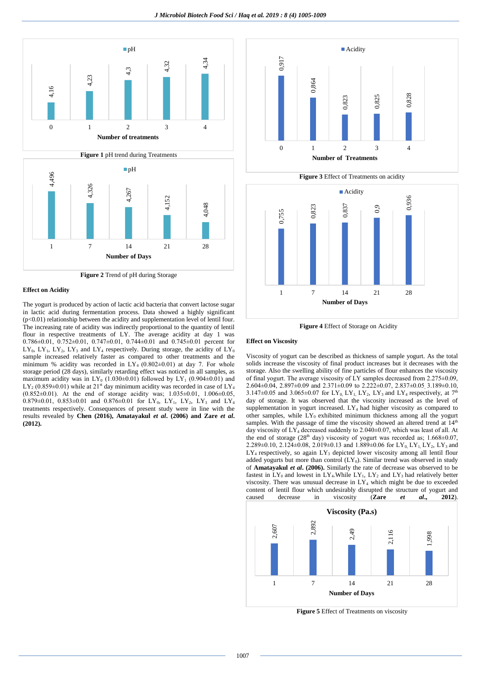

**Effect on Acidity** 

The yogurt is produced by action of lactic acid bacteria that convert lactose sugar in lactic acid during fermentation process. Data showed a highly significant (p<0.01) relationship between the acidity and supplementation level of lentil four. The increasing rate of acidity was indirectly proportional to the quantity of lentil flour in respective treatments of LY. The average acidity at day 1 was 0.786±0.01, 0.752±0.01, 0.747±0.01, 0.744±0.01 and 0.745±0.01 percent for  $LY_0$ ,  $LY_1$ ,  $LY_2$ ,  $LY_3$  and  $LY_4$  respectively. During storage, the acidity of  $LY_0$ sample increased relatively faster as compared to other treatments and the minimum % acidity was recorded in  $LY_4$  (0.802±0.01) at day 7. For whole storage period (28 days), similarly retarding effect was noticed in all samples, as maximum acidity was in  $LY_0$  (1.030 $\pm$ 0.01) followed by  $LY_1$  (0.904 $\pm$ 0.01) and  $LY_2$  (0.859±0.01) while at 21<sup>st</sup> day minimum acidity was recorded in case of  $LY_4$ (0.852±0.01). At the end of storage acidity was; 1.035±0.01, 1.006±0.05, 0.879 $\pm$ 0.01, 0.853 $\pm$ 0.01 and 0.876 $\pm$ 0.01 for LY<sub>0</sub>, LY<sub>1</sub>, LY<sub>2</sub>, LY<sub>3</sub> and LY<sub>4</sub> treatments respectively. Consequences of present study were in line with the results revealed by **Chen (2016), Amatayakul** *et al***. (2006) and Zare** *et al***. (2012).**



 **Figure 4** Effect of Storage on Acidity

1 7 14 21 28 **Number of Days**

#### **Effect on Viscosity**

Viscosity of yogurt can be described as thickness of sample yogurt. As the total solids increase the viscosity of final product increases but it decreases with the storage. Also the swelling ability of fine particles of flour enhances the viscosity of final yogurt. The average viscosity of LY samples decreased from 2.275±0.09,  $2.604\pm0.04$ ,  $2.897\pm0.09$  and  $2.371\pm0.09$  to  $2.222\pm0.07$ ,  $2.837\pm0.05$ ,  $3.189\pm0.10$ , 3.147±0.05 and 3.065±0.07 for LY<sub>0</sub>, LY<sub>1</sub>, LY<sub>2</sub>, LY<sub>3</sub> and LY<sub>4</sub> respectively, at 7<sup>th</sup> day of storage. It was observed that the viscosity increased as the level of supplementation in yogurt increased.  $LY_4$  had higher viscosity as compared to other samples, while  $LY_0$  exhibited minimum thickness among all the yogurt samples. With the passage of time the viscosity showed an altered trend at  $14<sup>th</sup>$ day viscosity of  $LY_4$  decreased suddenly to 2.040±0.07, which was least of all. At the end of storage ( $28<sup>th</sup>$  day) viscosity of yogurt was recorded as; 1.668 $\pm$ 0.07, 2.289±0.10, 2.124±0.08, 2.019±0.13 and 1.889±0.06 for LY<sub>0</sub>, LY<sub>1</sub>, LY<sub>2</sub>, LY<sub>3</sub> and LY<sub>4</sub> respectively, so again LY<sub>3</sub> depicted lower viscosity among all lentil flour added yogurts but more than control  $(LY_0)$ . Similar trend was observed in study of **Amatayakul** *et al***. (2006).** Similarly the rate of decrease was observed to be fastest in  $LY_0$  and lowest in  $LY_4$ . While  $LY_1$ ,  $LY_2$  and  $LY_3$  had relatively better viscosity. There was unusual decrease in  $LY_4$  which might be due to exceeded content of lentil flour which undesirably disrupted the structure of yogurt and caused decrease in viscosity (**Zare** *et al***., 2012**).



**Figure 5** Effect of Treatments on viscosity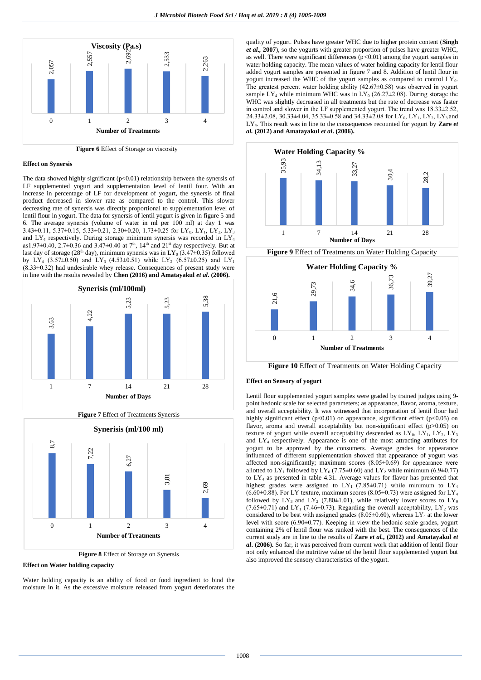

 **Figure 6** Effect of Storage on viscosity

## **Effect on Synersis**

The data showed highly significant  $(p<0.01)$  relationship between the synersis of LF supplemented yogurt and supplementation level of lentil four. With an increase in percentage of LF for development of yogurt, the synersis of final product decreased in slower rate as compared to the control. This slower decreasing rate of synersis was directly proportional to supplementation level of lentil flour in yogurt. The data for synersis of lentil yogurt is given in figure 5 and 6. The average synersis (volume of water in ml per 100 ml) at day 1 was 3.43 $\pm$ 0.11, 5.37 $\pm$ 0.15, 5.33 $\pm$ 0.21, 2.30 $\pm$ 0.20, 1.73 $\pm$ 0.25 for LY<sub>0</sub>, LY<sub>1</sub>, LY<sub>2</sub>, LY<sub>3</sub> and  $LY_4$  respectively. During storage minimum synersis was recorded in  $LY_4$ as1.97 $\pm$ 0.40, 2.7 $\pm$ 0.36 and 3.47 $\pm$ 0.40 at 7<sup>th</sup>, 14<sup>th</sup> and 21<sup>st</sup> day respectively. But at last day of storage (28<sup>th</sup> day), minimum synersis was in  $LY_0 (3.47±0.35)$  followed by LY<sub>4</sub> (3.57 $\pm$ 0.50) and LY<sub>3</sub> (4.53 $\pm$ 0.51) while LY<sub>2</sub> (6.57 $\pm$ 0.25) and LY<sub>1</sub> (8.33±0.32) had undesirable whey release. Consequences of present study were in line with the results revealed by **Chen (2016) and Amatayakul** *et al***. (2006).**



**Figure 7** Effect of Treatments Synersis



**Figure 8** Effect of Storage on Synersis

**Effect on Water holding capacity**

Water holding capacity is an ability of food or food ingredient to bind the moisture in it. As the excessive moisture released from yogurt deteriorates the quality of yogurt. Pulses have greater WHC due to higher protein content (**Singh**  *et al.,* **2007**), so the yogurts with greater proportion of pulses have greater WHC, as well. There were significant differences (p*<*0.01) among the yogurt samples in water holding capacity. The mean values of water holding capacity for lentil flour added yogurt samples are presented in figure 7 and 8. Addition of lentil flour in yogurt increased the WHC of the yogurt samples as compared to control  $LY_0$ . The greatest percent water holding ability (42.67±0.58) was observed in yogurt sample LY<sub>4</sub> while minimum WHC was in LY<sub>0</sub> (26.27 $\pm$ 2.08). During storage the WHC was slightly decreased in all treatments but the rate of decrease was faster in control and slower in the LF supplemented yogurt. The trend was 18.33±2.52, 24.33 $\pm$ 2.08, 30.33 $\pm$ 4.04, 35.33 $\pm$ 0.58 and 34.33 $\pm$ 2.08 for LY<sub>0</sub>, LY<sub>1</sub>, LY<sub>2</sub>, LY<sub>3</sub> and LY4. This result was in line to the consequences recounted for yogurt by **Zare** *et al.* **(2012) and Amatayakul** *et al***. (2006).**



**Figure 10** Effect of Treatments on Water Holding Capacity

#### **Effect on Sensory of yogurt**

Lentil flour supplemented yogurt samples were graded by trained judges using 9 point hedonic scale for selected parameters; as appearance, flavor, aroma, texture, and overall acceptability. It was witnessed that incorporation of lentil flour had highly significant effect (p<0.01) on appearance, significant effect (p<0.05) on flavor, aroma and overall acceptability but non-significant effect (p>0.05) on texture of yogurt while overall acceptability descended as  $LY_0$ ,  $LY_1$ ,  $LY_2$ ,  $LY_3$ and LY<sup>4</sup> respectively. Appearance is one of the most attracting attributes for yogurt to be approved by the consumers. Average grades for appearance influenced of different supplementation showed that appearance of yogurt was affected non-significantly; maximum scores (8.05±0.69) for appearance were allotted to  $LY_1$  followed by  $LY_0$  (7.75±0.60) and  $LY_2$  while minimum (6.9±0.77) to LY<sup>4</sup> as presented in table 4.31. Average values for flavor has presented that highest grades were assigned to  $LY_1$  (7.85±0.71) while minimum to  $LY_4$  $(6.60\pm0.88)$ . For LY texture, maximum scores  $(8.05\pm0.73)$  were assigned for LY<sub>4</sub> followed by  $LY_3$  and  $LY_2$  (7.80±1.01), while relatively lower scores to  $LY_0$ (7.65 $\pm$ 0.71) and LY<sub>1</sub> (7.46 $\pm$ 0.73). Regarding the overall acceptability, LY<sub>2</sub> was considered to be best with assigned grades (8.05 $\pm$ 0.60), whereas LY<sub>4</sub> at the lower level with score (6.90±0.77). Keeping in view the hedonic scale grades, yogurt containing 2% of lentil flour was ranked with the best. The consequences of the current study are in line to the results of **Zare** *et al.***, (2012)** and **Amatayakul** *et al***. (2006).** So far, it was perceived from current work that addition of lentil flour not only enhanced the nutritive value of the lentil flour supplemented yogurt but also improved the sensory characteristics of the yogurt.